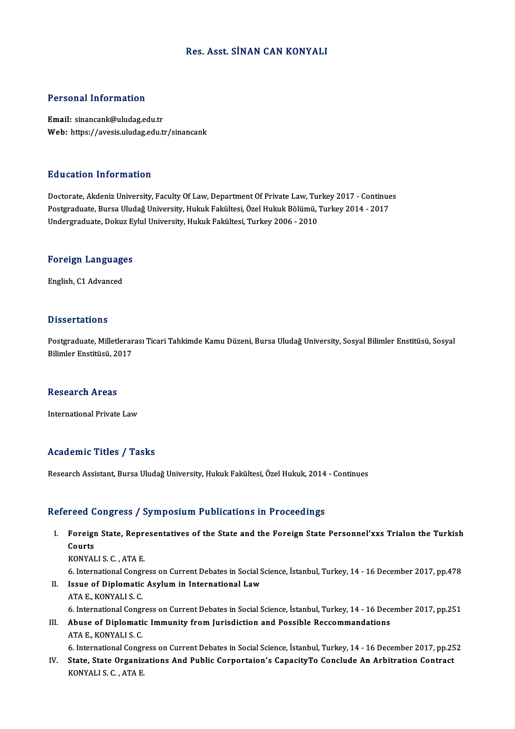# Res. Asst. SİNAN CAN KONYALI

## Personal Information

Email: sinancank@uludag.edu.tr Web: https://avesis.uludag.edu.tr/sinancank

## Education Information

Education Information<br>Doctorate, Akdeniz University, Faculty Of Law, Department Of Private Law, Turkey 2017 - Continues<br>Postsraduate Purse Uludeğ University, Huluk Fakültesi, Özel Huluk Pölümü, Turkey 2014 - 2017 Pu u susesi Timor inusion<br>Doctorate, Akdeniz University, Faculty Of Law, Department Of Private Law, Turkey 2017 - Continue<br>Postgraduate, Bursa Uludağ University, Hukuk Fakültesi, Özel Hukuk Bölümü, Turkey 2014 - 2017<br>Under Postgraduate, Bursa Uludağ University, Hukuk Fakültesi, Özel Hukuk Bölümü, Turkey 2014 - 2017<br>Undergraduate, Dokuz Eylul University, Hukuk Fakültesi, Turkey 2006 - 2010

# ondergraduate, Dokuz Ey<br>Foreign Languages <mark>Foreign Languag</mark>e<br>English, C1 Advanced

English, C1 Advanced<br>Dissertations

**Dissertations**<br>Postgraduate, Milletlerarası Ticari Tahkimde Kamu Düzeni, Bursa Uludağ University, Sosyal Bilimler Enstitüsü, Sosyal<br>Bilimler Enstitüsü, 2017 Bilimler Enstitüsü,<br>Postgraduate, Milletlerar<br>Bilimler Enstitüsü, 2017 Bilimler Enstitüsü, 2017<br>Research Areas

InternationalPrivate Law

## Academic Titles / Tasks

Research Assistant, Bursa Uludağ University, Hukuk Fakültesi, Özel Hukuk, 2014 - Continues

## Refereed Congress / Symposium Publications in Proceedings

efereed Congress / Symposium Publications in Proceedings<br>I. Foreign State, Representatives of the State and the Foreign State Personnel'xxs Trialon the Turkish<br>Courts rood<br>Foreigi<br>Courts<br><sub>KONVAI</sub> Foreign State, Repre<br>Courts<br>KONYALI S. C. , ATA E.<br>6. International Congr Courts<br>KONYALI S. C. , ATA E.<br>6. International Congress on Current Debates in Social Science, İstanbul, Turkey, 14 - 16 December 2017, pp.478<br>Isave ef Diplematie Asylum in International Law. KONYALI S. C., ATA E.<br>6. International Congress on Current Debates in Social S<br>II. Issue of Diplomatic Asylum in International Law<br>ATA E. KONYALLS C 6. International Congr<br>Issue of Diplomatic<br>ATA E., KONYALI S. C.<br>6. International Congr 1. Issue of Diplomatic Asylum in International Law<br>ATA E., KONYALI S. C.<br>6. International Congress on Current Debates in Social Science, İstanbul, Turkey, 14 - 16 December 2017, pp.251

ATA E., KONYALI S. C.<br>6. International Congress on Current Debates in Social Science, İstanbul, Turkey, 14 - 16 Dece<br>III. Abuse of Diplomatic Immunity from Jurisdiction and Possible Reccommandations<br>ATA E. KONYALLS C. **6. International Congreg<br>Abuse of Diplomati<br>ATA E., KONYALI S. C.<br>6. International Congre** Abuse of Diplomatic Immunity from Jurisdiction and Possible Reccommandations<br>ATA E., KONYALI S. C.<br>6. International Congress on Current Debates in Social Science, İstanbul, Turkey, 14 - 16 December 2017, pp.252<br>State, Stat

ATA E., KONYALI S. C.<br>6. International Congress on Current Debates in Social Science, İstanbul, Turkey, 14 - 16 December 2017, pp.25<br>IV. State, State Organizations And Public Corportaion's CapacityTo Conclude An Arbitr 6. International Congr<br>State, State Organiz<br>KONYALI S. C. , ATA E.